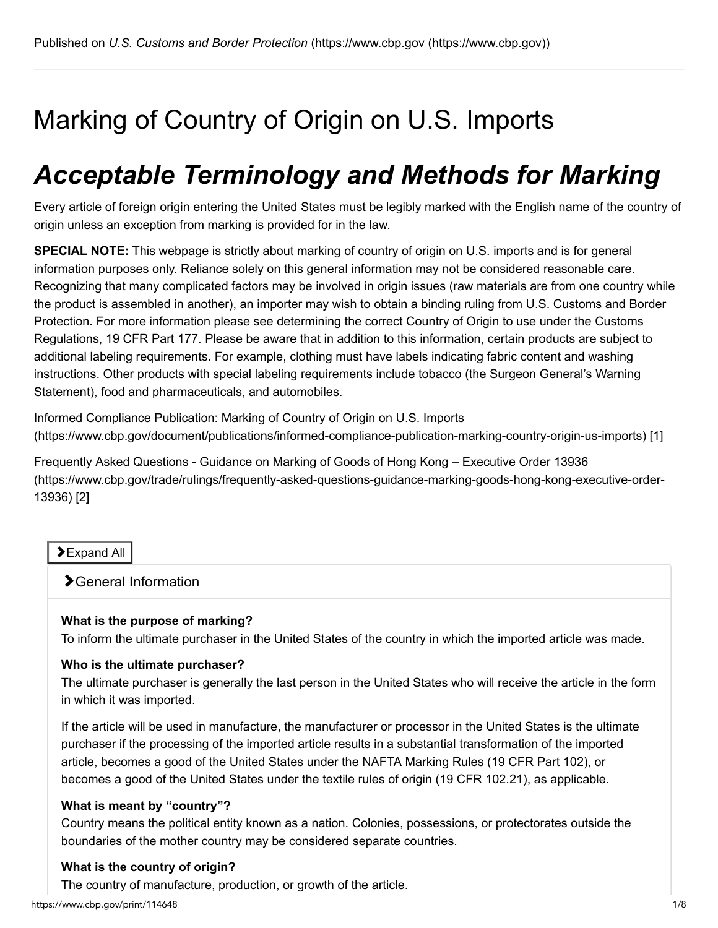# Marking of Country of Origin on U.S. Imports

# *Acceptable Terminology and Methods for Marking*

Every article of foreign origin entering the United States must be legibly marked with the English name of the country of origin unless an exception from marking is provided for in the law.

**SPECIAL NOTE:** This webpage is strictly about marking of country of origin on U.S. imports and is for general information purposes only. Reliance solely on this general information may not be considered reasonable care. Recognizing that many complicated factors may be involved in origin issues (raw materials are from one country while the product is assembled in another), an importer may wish to obtain a binding ruling from U.S. Customs and Border Protection. For more information please see determining the correct Country of Origin to use under the Customs Regulations, 19 CFR Part 177. Please be aware that in addition to this information, certain products are subject to additional labeling requirements. For example, clothing must have labels indicating fabric content and washing instructions. Other products with special labeling requirements include tobacco (the Surgeon General's Warning Statement), food and pharmaceuticals, and automobiles.

Informed Compliance Publication: Marking of Country of Origin on U.S. Imports [\(https://www.cbp.gov/document/publications/informed-compliance-publication-marking-country-origin-us-imports\)](https://www.cbp.gov/document/publications/informed-compliance-publication-marking-country-origin-us-imports) [1]

Frequently Asked Questions - Guidance on Marking of Goods of Hong Kong – Executive Order 13936 [\(https://www.cbp.gov/trade/rulings/frequently-asked-questions-guidance-marking-goods-hong-kong-executive-order-](https://www.cbp.gov/trade/rulings/frequently-asked-questions-guidance-marking-goods-hong-kong-executive-order-13936)13936) [2]

#### **>Expand All**

#### General Information

#### **What is the purpose of marking?**

To inform the ultimate purchaser in the United States of the country in which the imported article was made.

#### **Who is the ultimate purchaser?**

The ultimate purchaser is generally the last person in the United States who will receive the article in the form in which it was imported.

If the article will be used in manufacture, the manufacturer or processor in the United States is the ultimate purchaser if the processing of the imported article results in a substantial transformation of the imported article, becomes a good of the United States under the NAFTA Marking Rules (19 CFR Part 102), or becomes a good of the United States under the textile rules of origin (19 CFR 102.21), as applicable.

#### **What is meant by "country"?**

Country means the political entity known as a nation. Colonies, possessions, or protectorates outside the boundaries of the mother country may be considered separate countries.

#### **What is the country of origin?**

The country of manufacture, production, or growth of the article.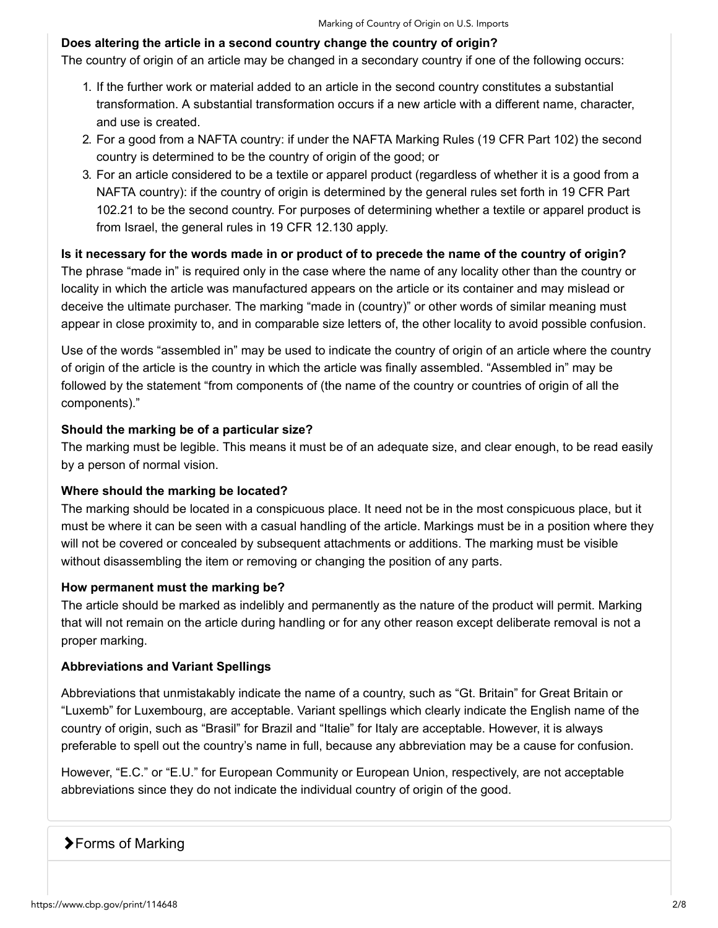#### **Does altering the article in a second country change the country of origin?**

The country of origin of an article may be changed in a secondary country if one of the following occurs:

- 1. If the further work or material added to an article in the second country constitutes a substantial transformation. A substantial transformation occurs if a new article with a different name, character, and use is created.
- 2. For a good from a NAFTA country: if under the NAFTA Marking Rules (19 CFR Part 102) the second country is determined to be the country of origin of the good; or
- 3. For an article considered to be a textile or apparel product (regardless of whether it is a good from a NAFTA country): if the country of origin is determined by the general rules set forth in 19 CFR Part 102.21 to be the second country. For purposes of determining whether a textile or apparel product is from Israel, the general rules in 19 CFR 12.130 apply.

#### **Is it necessary for the words made in or product of to precede the name of the country of origin?**

The phrase "made in" is required only in the case where the name of any locality other than the country or locality in which the article was manufactured appears on the article or its container and may mislead or deceive the ultimate purchaser. The marking "made in (country)" or other words of similar meaning must appear in close proximity to, and in comparable size letters of, the other locality to avoid possible confusion.

Use of the words "assembled in" may be used to indicate the country of origin of an article where the country of origin of the article is the country in which the article was finally assembled. "Assembled in" may be followed by the statement "from components of (the name of the country or countries of origin of all the components)."

#### **Should the marking be of a particular size?**

The marking must be legible. This means it must be of an adequate size, and clear enough, to be read easily by a person of normal vision.

#### **Where should the marking be located?**

The marking should be located in a conspicuous place. It need not be in the most conspicuous place, but it must be where it can be seen with a casual handling of the article. Markings must be in a position where they will not be covered or concealed by subsequent attachments or additions. The marking must be visible without disassembling the item or removing or changing the position of any parts.

#### **How permanent must the marking be?**

The article should be marked as indelibly and permanently as the nature of the product will permit. Marking that will not remain on the article during handling or for any other reason except deliberate removal is not a proper marking.

#### **Abbreviations and Variant Spellings**

Abbreviations that unmistakably indicate the name of a country, such as "Gt. Britain" for Great Britain or "Luxemb" for Luxembourg, are acceptable. Variant spellings which clearly indicate the English name of the country of origin, such as "Brasil" for Brazil and "Italie" for Italy are acceptable. However, it is always preferable to spell out the country's name in full, because any abbreviation may be a cause for confusion.

However, "E.C." or "E.U." for European Community or European Union, respectively, are not acceptable abbreviations since they do not indicate the individual country of origin of the good.

#### **▶Forms of Marking**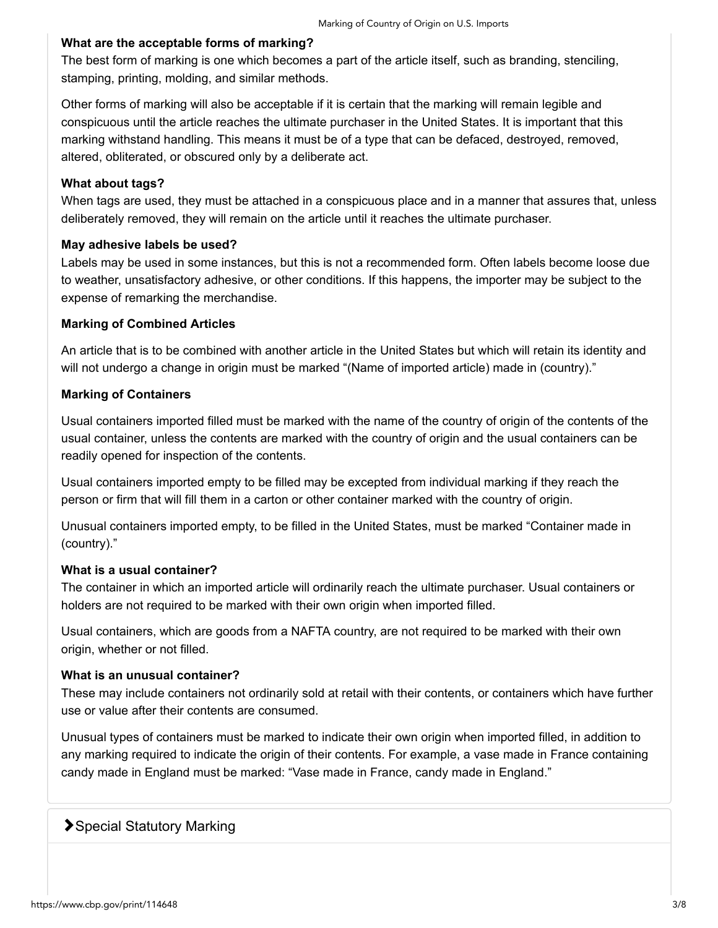#### **What are the acceptable forms of marking?**

The best form of marking is one which becomes a part of the article itself, such as branding, stenciling, stamping, printing, molding, and similar methods.

Other forms of marking will also be acceptable if it is certain that the marking will remain legible and conspicuous until the article reaches the ultimate purchaser in the United States. It is important that this marking withstand handling. This means it must be of a type that can be defaced, destroyed, removed, altered, obliterated, or obscured only by a deliberate act.

#### **What about tags?**

When tags are used, they must be attached in a conspicuous place and in a manner that assures that, unless deliberately removed, they will remain on the article until it reaches the ultimate purchaser.

#### **May adhesive labels be used?**

Labels may be used in some instances, but this is not a recommended form. Often labels become loose due to weather, unsatisfactory adhesive, or other conditions. If this happens, the importer may be subject to the expense of remarking the merchandise.

#### **Marking of Combined Articles**

An article that is to be combined with another article in the United States but which will retain its identity and will not undergo a change in origin must be marked "(Name of imported article) made in (country)."

#### **Marking of Containers**

Usual containers imported filled must be marked with the name of the country of origin of the contents of the usual container, unless the contents are marked with the country of origin and the usual containers can be readily opened for inspection of the contents.

Usual containers imported empty to be filled may be excepted from individual marking if they reach the person or firm that will fill them in a carton or other container marked with the country of origin.

Unusual containers imported empty, to be filled in the United States, must be marked "Container made in (country)."

#### **What is a usual container?**

The container in which an imported article will ordinarily reach the ultimate purchaser. Usual containers or holders are not required to be marked with their own origin when imported filled.

Usual containers, which are goods from a NAFTA country, are not required to be marked with their own origin, whether or not filled.

#### **What is an unusual container?**

These may include containers not ordinarily sold at retail with their contents, or containers which have further use or value after their contents are consumed.

Unusual types of containers must be marked to indicate their own origin when imported filled, in addition to any marking required to indicate the origin of their contents. For example, a vase made in France containing candy made in England must be marked: "Vase made in France, candy made in England."

## **>**Special Statutory Marking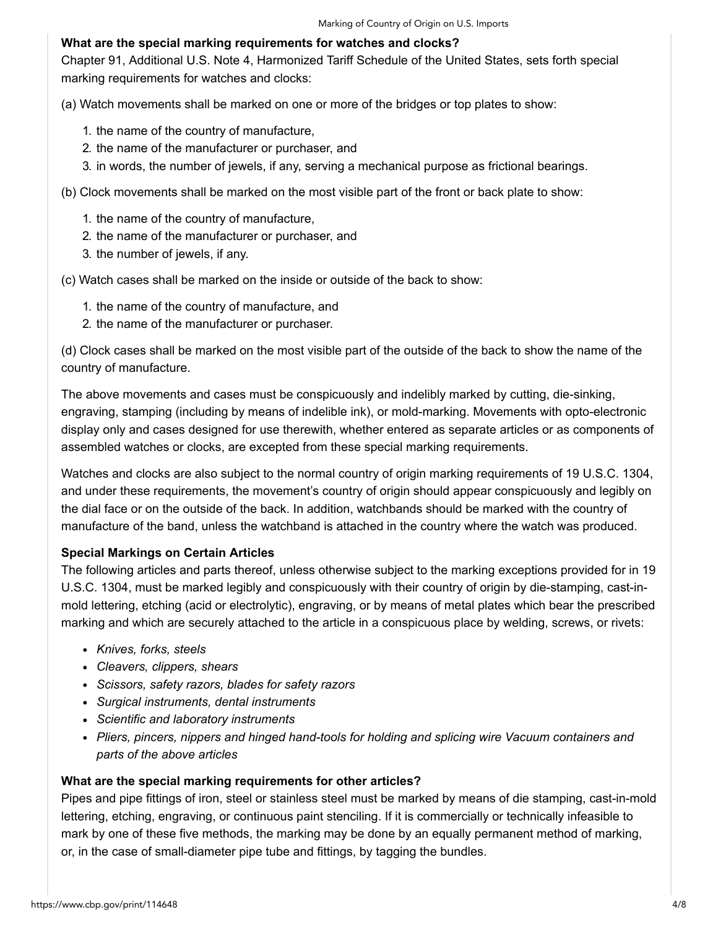#### **What are the special marking requirements for watches and clocks?**

Chapter 91, Additional U.S. Note 4, Harmonized Tariff Schedule of the United States, sets forth special marking requirements for watches and clocks:

(a) Watch movements shall be marked on one or more of the bridges or top plates to show:

- 1. the name of the country of manufacture,
- 2. the name of the manufacturer or purchaser, and
- 3. in words, the number of jewels, if any, serving a mechanical purpose as frictional bearings.

(b) Clock movements shall be marked on the most visible part of the front or back plate to show:

- 1. the name of the country of manufacture,
- 2. the name of the manufacturer or purchaser, and
- 3. the number of jewels, if any.

(c) Watch cases shall be marked on the inside or outside of the back to show:

- 1. the name of the country of manufacture, and
- 2. the name of the manufacturer or purchaser.

(d) Clock cases shall be marked on the most visible part of the outside of the back to show the name of the country of manufacture.

The above movements and cases must be conspicuously and indelibly marked by cutting, die-sinking, engraving, stamping (including by means of indelible ink), or mold-marking. Movements with opto-electronic display only and cases designed for use therewith, whether entered as separate articles or as components of assembled watches or clocks, are excepted from these special marking requirements.

Watches and clocks are also subject to the normal country of origin marking requirements of 19 U.S.C. 1304, and under these requirements, the movement's country of origin should appear conspicuously and legibly on the dial face or on the outside of the back. In addition, watchbands should be marked with the country of manufacture of the band, unless the watchband is attached in the country where the watch was produced.

#### **Special Markings on Certain Articles**

The following articles and parts thereof, unless otherwise subject to the marking exceptions provided for in 19 U.S.C. 1304, must be marked legibly and conspicuously with their country of origin by die-stamping, cast-inmold lettering, etching (acid or electrolytic), engraving, or by means of metal plates which bear the prescribed marking and which are securely attached to the article in a conspicuous place by welding, screws, or rivets:

- *Knives, forks, steels*
- *Cleavers, clippers, shears*
- *Scissors, safety razors, blades for safety razors*
- *Surgical instruments, dental instruments*
- *Scientific and laboratory instruments*
- *Pliers, pincers, nippers and hinged hand-tools for holding and splicing wire Vacuum containers and parts of the above articles*

#### **What are the special marking requirements for other articles?**

Pipes and pipe fittings of iron, steel or stainless steel must be marked by means of die stamping, cast-in-mold lettering, etching, engraving, or continuous paint stenciling. If it is commercially or technically infeasible to mark by one of these five methods, the marking may be done by an equally permanent method of marking, or, in the case of small-diameter pipe tube and fittings, by tagging the bundles.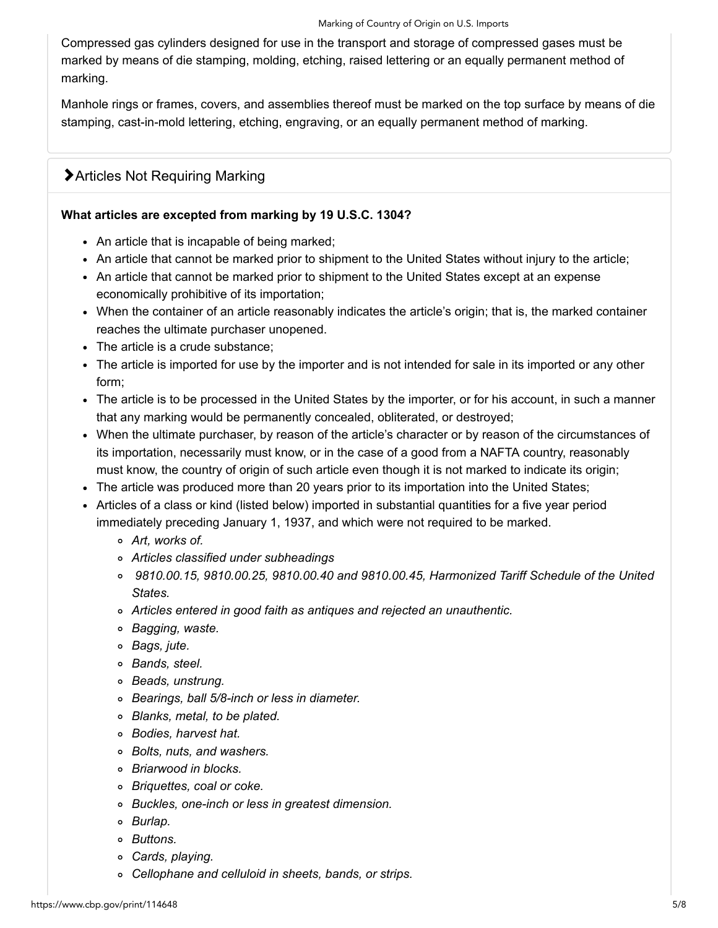Compressed gas cylinders designed for use in the transport and storage of compressed gases must be marked by means of die stamping, molding, etching, raised lettering or an equally permanent method of marking.

Manhole rings or frames, covers, and assemblies thereof must be marked on the top surface by means of die stamping, cast-in-mold lettering, etching, engraving, or an equally permanent method of marking.

# Articles Not Requiring Marking

#### **What articles are excepted from marking by 19 U.S.C. 1304?**

- An article that is incapable of being marked;
- An article that cannot be marked prior to shipment to the United States without injury to the article;
- An article that cannot be marked prior to shipment to the United States except at an expense economically prohibitive of its importation;
- When the container of an article reasonably indicates the article's origin; that is, the marked container reaches the ultimate purchaser unopened.
- The article is a crude substance;
- The article is imported for use by the importer and is not intended for sale in its imported or any other form;
- The article is to be processed in the United States by the importer, or for his account, in such a manner that any marking would be permanently concealed, obliterated, or destroyed;
- When the ultimate purchaser, by reason of the article's character or by reason of the circumstances of its importation, necessarily must know, or in the case of a good from a NAFTA country, reasonably must know, the country of origin of such article even though it is not marked to indicate its origin;
- The article was produced more than 20 years prior to its importation into the United States;
- Articles of a class or kind (listed below) imported in substantial quantities for a five year period immediately preceding January 1, 1937, and which were not required to be marked.
	- *Art, works of.*
	- *Articles classified under subheadings*
	- *9810.00.15, 9810.00.25, 9810.00.40 and 9810.00.45, Harmonized Tariff Schedule of the United States.*
	- *Articles entered in good faith as antiques and rejected an unauthentic.*
	- *Bagging, waste.*
	- *Bags, jute.*
	- *Bands, steel.*
	- *Beads, unstrung.*
	- *Bearings, ball 5/8-inch or less in diameter.*
	- *Blanks, metal, to be plated.*
	- *Bodies, harvest hat.*
	- *Bolts, nuts, and washers.*
	- *Briarwood in blocks.*
	- *Briquettes, coal or coke.*
	- *Buckles, one-inch or less in greatest dimension.*
	- *Burlap.*
	- *Buttons.*
	- *Cards, playing.*
	- *Cellophane and celluloid in sheets, bands, or strips.*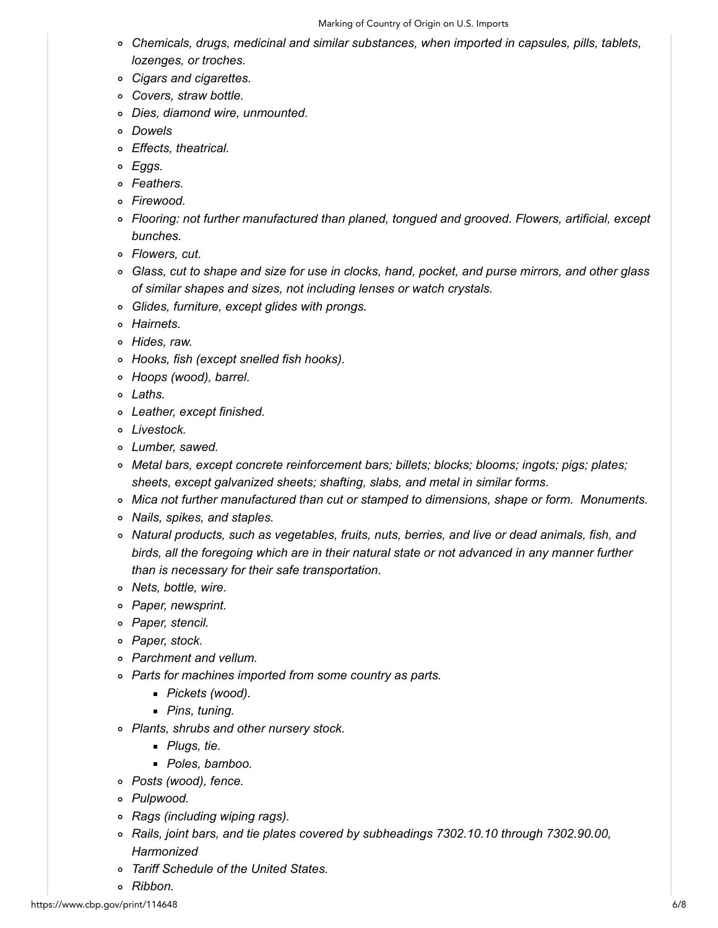#### Marking of Country of Origin on U.S. Imports

- *Chemicals, drugs, medicinal and similar substances, when imported in capsules, pills, tablets, lozenges, or troches.*
- *Cigars and cigarettes.*
- *Covers, straw bottle.*
- *Dies, diamond wire, unmounted.*
- *Dowels*
- *Effects, theatrical.*
- *Eggs.*
- *Feathers.*
- *Firewood.*
- *Flooring: not further manufactured than planed, tongued and grooved. Flowers, artificial, except bunches.*
- *Flowers, cut.*
- *Glass, cut to shape and size for use in clocks, hand, pocket, and purse mirrors, and other glass of similar shapes and sizes, not including lenses or watch crystals.*
- *Glides, furniture, except glides with prongs.*
- *Hairnets.*
- *Hides, raw.*
- *Hooks, fish (except snelled fish hooks).*
- *Hoops (wood), barrel.*
- *Laths.*
- *Leather, except finished.*
- *Livestock.*
- *Lumber, sawed.*
- *Metal bars, except concrete reinforcement bars; billets; blocks; blooms; ingots; pigs; plates; sheets, except galvanized sheets; shafting, slabs, and metal in similar forms.*
- *Mica not further manufactured than cut or stamped to dimensions, shape or form. Monuments.*
- *Nails, spikes, and staples.*
- *Natural products, such as vegetables, fruits, nuts, berries, and live or dead animals, fish, and birds, all the foregoing which are in their natural state or not advanced in any manner further than is necessary for their safe transportation.*
- *Nets, bottle, wire.*
- *Paper, newsprint.*
- *Paper, stencil.*
- *Paper, stock.*
- *Parchment and vellum.*
- *Parts for machines imported from some country as parts.*
	- *Pickets (wood).*
	- *Pins, tuning.*
- *Plants, shrubs and other nursery stock.*
	- *Plugs, tie.*
	- *Poles, bamboo.*
- *Posts (wood), fence.*
- *Pulpwood.*
- *Rags (including wiping rags).*
- *Rails, joint bars, and tie plates covered by subheadings 7302.10.10 through 7302.90.00, Harmonized*
- *Tariff Schedule of the United States.*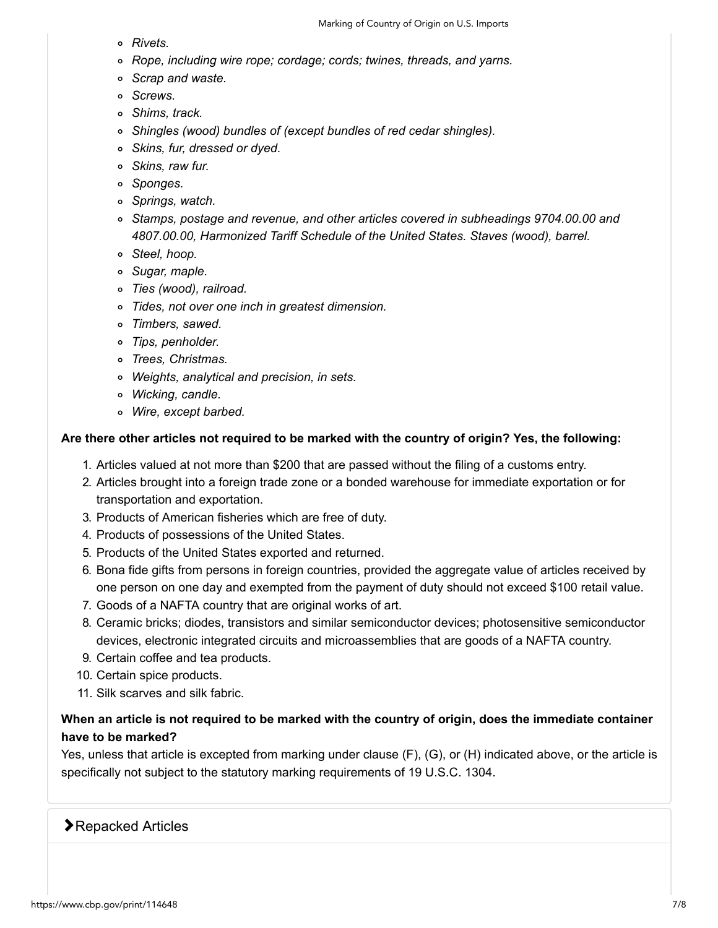- *Rivets.*
- *Rope, including wire rope; cordage; cords; twines, threads, and yarns.*
- *Scrap and waste.*
- *Screws.*
- *Shims, track.*
- *Shingles (wood) bundles of (except bundles of red cedar shingles).*
- *Skins, fur, dressed or dyed.*
- *Skins, raw fur.*
- *Sponges.*
- *Springs, watch.*
- *Stamps, postage and revenue, and other articles covered in subheadings 9704.00.00 and 4807.00.00, Harmonized Tariff Schedule of the United States. Staves (wood), barrel.*
- *Steel, hoop.*
- *Sugar, maple.*
- *Ties (wood), railroad.*
- *Tides, not over one inch in greatest dimension.*
- *Timbers, sawed.*
- *Tips, penholder.*
- *Trees, Christmas.*
- *Weights, analytical and precision, in sets.*
- *Wicking, candle.*
- *Wire, except barbed.*

#### **Are there other articles not required to be marked with the country of origin? Yes, the following:**

- 1. Articles valued at not more than \$200 that are passed without the filing of a customs entry.
- 2. Articles brought into a foreign trade zone or a bonded warehouse for immediate exportation or for transportation and exportation.
- 3. Products of American fisheries which are free of duty.
- 4. Products of possessions of the United States.
- 5. Products of the United States exported and returned.
- 6. Bona fide gifts from persons in foreign countries, provided the aggregate value of articles received by one person on one day and exempted from the payment of duty should not exceed \$100 retail value.
- 7. Goods of a NAFTA country that are original works of art.
- 8. Ceramic bricks; diodes, transistors and similar semiconductor devices; photosensitive semiconductor devices, electronic integrated circuits and microassemblies that are goods of a NAFTA country.
- 9. Certain coffee and tea products.
- 10. Certain spice products.
- 11. Silk scarves and silk fabric.

#### **When an article is not required to be marked with the country of origin, does the immediate container have to be marked?**

Yes, unless that article is excepted from marking under clause (F), (G), or (H) indicated above, or the article is specifically not subject to the statutory marking requirements of 19 U.S.C. 1304.

#### **E**Repacked Articles